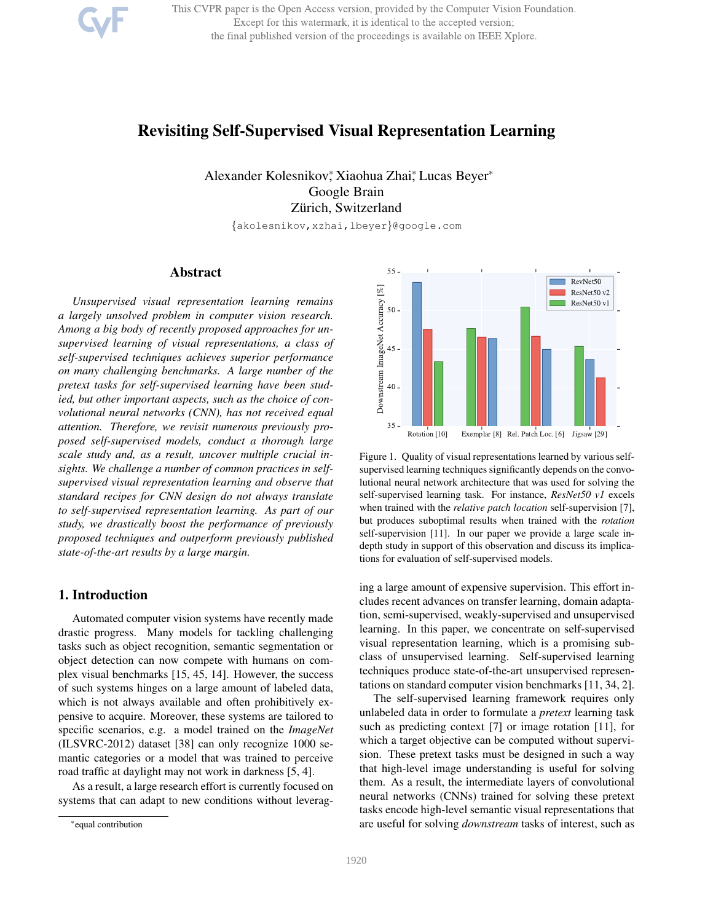This CVPR paper is the Open Access version, provided by the Computer Vision Foundation. Except for this watermark, it is identical to the accepted version; the final published version of the proceedings is available on IEEE Xplore.

# Revisiting Self-Supervised Visual Representation Learning

Alexander Kolesnikov, Xiaohua Zhai, Lucas Beyer\* Google Brain Zürich, Switzerland

{akolesnikov,xzhai,lbeyer}@google.com

# Abstract

*Unsupervised visual representation learning remains a largely unsolved problem in computer vision research. Among a big body of recently proposed approaches for unsupervised learning of visual representations, a class of self-supervised techniques achieves superior performance on many challenging benchmarks. A large number of the pretext tasks for self-supervised learning have been studied, but other important aspects, such as the choice of convolutional neural networks (CNN), has not received equal attention. Therefore, we revisit numerous previously proposed self-supervised models, conduct a thorough large scale study and, as a result, uncover multiple crucial insights. We challenge a number of common practices in selfsupervised visual representation learning and observe that standard recipes for CNN design do not always translate to self-supervised representation learning. As part of our study, we drastically boost the performance of previously proposed techniques and outperform previously published state-of-the-art results by a large margin.*

# 1. Introduction

Automated computer vision systems have recently made drastic progress. Many models for tackling challenging tasks such as object recognition, semantic segmentation or object detection can now compete with humans on complex visual benchmarks [15, 45, 14]. However, the success of such systems hinges on a large amount of labeled data, which is not always available and often prohibitively expensive to acquire. Moreover, these systems are tailored to specific scenarios, e.g. a model trained on the *ImageNet* (ILSVRC-2012) dataset [38] can only recognize 1000 semantic categories or a model that was trained to perceive road traffic at daylight may not work in darkness [5, 4].

As a result, a large research effort is currently focused on systems that can adapt to new conditions without leverag-



Figure 1. Quality of visual representations learned by various selfsupervised learning techniques significantly depends on the convolutional neural network architecture that was used for solving the self-supervised learning task. For instance, *ResNet50 v1* excels when trained with the *relative patch location* self-supervision [7], but produces suboptimal results when trained with the *rotation* self-supervision [11]. In our paper we provide a large scale indepth study in support of this observation and discuss its implications for evaluation of self-supervised models.

ing a large amount of expensive supervision. This effort includes recent advances on transfer learning, domain adaptation, semi-supervised, weakly-supervised and unsupervised learning. In this paper, we concentrate on self-supervised visual representation learning, which is a promising subclass of unsupervised learning. Self-supervised learning techniques produce state-of-the-art unsupervised representations on standard computer vision benchmarks [11, 34, 2].

The self-supervised learning framework requires only unlabeled data in order to formulate a *pretext* learning task such as predicting context [7] or image rotation [11], for which a target objective can be computed without supervision. These pretext tasks must be designed in such a way that high-level image understanding is useful for solving them. As a result, the intermediate layers of convolutional neural networks (CNNs) trained for solving these pretext tasks encode high-level semantic visual representations that are useful for solving *downstream* tasks of interest, such as

<sup>\*</sup>equal contribution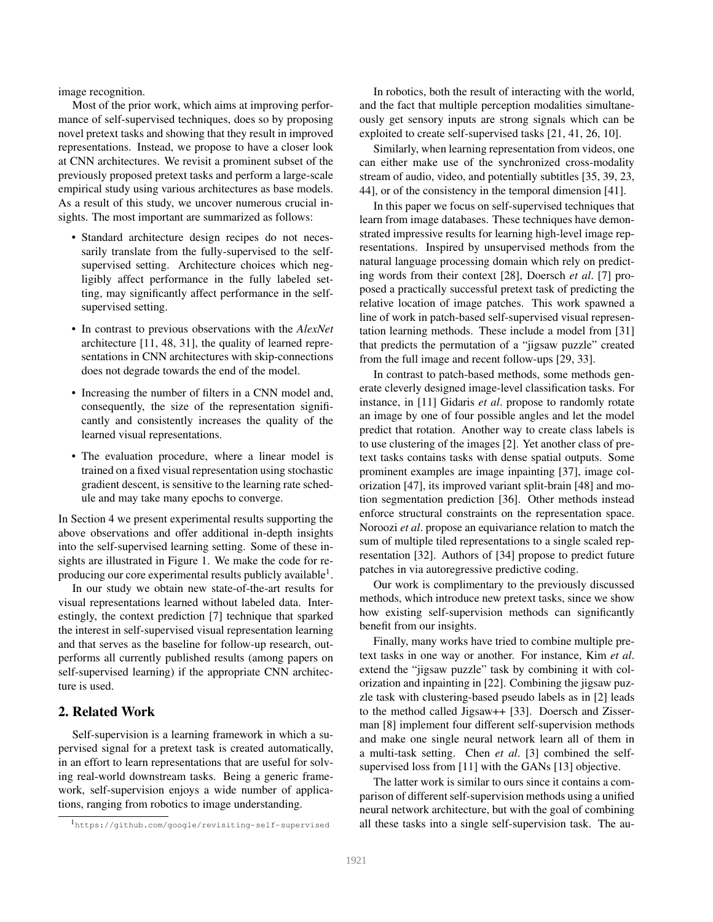image recognition.

Most of the prior work, which aims at improving performance of self-supervised techniques, does so by proposing novel pretext tasks and showing that they result in improved representations. Instead, we propose to have a closer look at CNN architectures. We revisit a prominent subset of the previously proposed pretext tasks and perform a large-scale empirical study using various architectures as base models. As a result of this study, we uncover numerous crucial insights. The most important are summarized as follows:

- Standard architecture design recipes do not necessarily translate from the fully-supervised to the selfsupervised setting. Architecture choices which negligibly affect performance in the fully labeled setting, may significantly affect performance in the selfsupervised setting.
- In contrast to previous observations with the *AlexNet* architecture [11, 48, 31], the quality of learned representations in CNN architectures with skip-connections does not degrade towards the end of the model.
- Increasing the number of filters in a CNN model and, consequently, the size of the representation significantly and consistently increases the quality of the learned visual representations.
- The evaluation procedure, where a linear model is trained on a fixed visual representation using stochastic gradient descent, is sensitive to the learning rate schedule and may take many epochs to converge.

In Section 4 we present experimental results supporting the above observations and offer additional in-depth insights into the self-supervised learning setting. Some of these insights are illustrated in Figure 1. We make the code for reproducing our core experimental results publicly available $^1$ .

In our study we obtain new state-of-the-art results for visual representations learned without labeled data. Interestingly, the context prediction [7] technique that sparked the interest in self-supervised visual representation learning and that serves as the baseline for follow-up research, outperforms all currently published results (among papers on self-supervised learning) if the appropriate CNN architecture is used.

# 2. Related Work

Self-supervision is a learning framework in which a supervised signal for a pretext task is created automatically, in an effort to learn representations that are useful for solving real-world downstream tasks. Being a generic framework, self-supervision enjoys a wide number of applications, ranging from robotics to image understanding.

In robotics, both the result of interacting with the world, and the fact that multiple perception modalities simultaneously get sensory inputs are strong signals which can be exploited to create self-supervised tasks [21, 41, 26, 10].

Similarly, when learning representation from videos, one can either make use of the synchronized cross-modality stream of audio, video, and potentially subtitles [35, 39, 23, 44], or of the consistency in the temporal dimension [41].

In this paper we focus on self-supervised techniques that learn from image databases. These techniques have demonstrated impressive results for learning high-level image representations. Inspired by unsupervised methods from the natural language processing domain which rely on predicting words from their context [28], Doersch *et al*. [7] proposed a practically successful pretext task of predicting the relative location of image patches. This work spawned a line of work in patch-based self-supervised visual representation learning methods. These include a model from [31] that predicts the permutation of a "jigsaw puzzle" created from the full image and recent follow-ups [29, 33].

In contrast to patch-based methods, some methods generate cleverly designed image-level classification tasks. For instance, in [11] Gidaris *et al*. propose to randomly rotate an image by one of four possible angles and let the model predict that rotation. Another way to create class labels is to use clustering of the images [2]. Yet another class of pretext tasks contains tasks with dense spatial outputs. Some prominent examples are image inpainting [37], image colorization [47], its improved variant split-brain [48] and motion segmentation prediction [36]. Other methods instead enforce structural constraints on the representation space. Noroozi *et al*. propose an equivariance relation to match the sum of multiple tiled representations to a single scaled representation [32]. Authors of [34] propose to predict future patches in via autoregressive predictive coding.

Our work is complimentary to the previously discussed methods, which introduce new pretext tasks, since we show how existing self-supervision methods can significantly benefit from our insights.

Finally, many works have tried to combine multiple pretext tasks in one way or another. For instance, Kim *et al*. extend the "jigsaw puzzle" task by combining it with colorization and inpainting in [22]. Combining the jigsaw puzzle task with clustering-based pseudo labels as in [2] leads to the method called Jigsaw++ [33]. Doersch and Zisserman [8] implement four different self-supervision methods and make one single neural network learn all of them in a multi-task setting. Chen *et al*. [3] combined the selfsupervised loss from [11] with the GANs [13] objective.

The latter work is similar to ours since it contains a comparison of different self-supervision methods using a unified neural network architecture, but with the goal of combining all these tasks into a single self-supervision task. The au-

<sup>1</sup>https://github.com/google/revisiting-self-supervised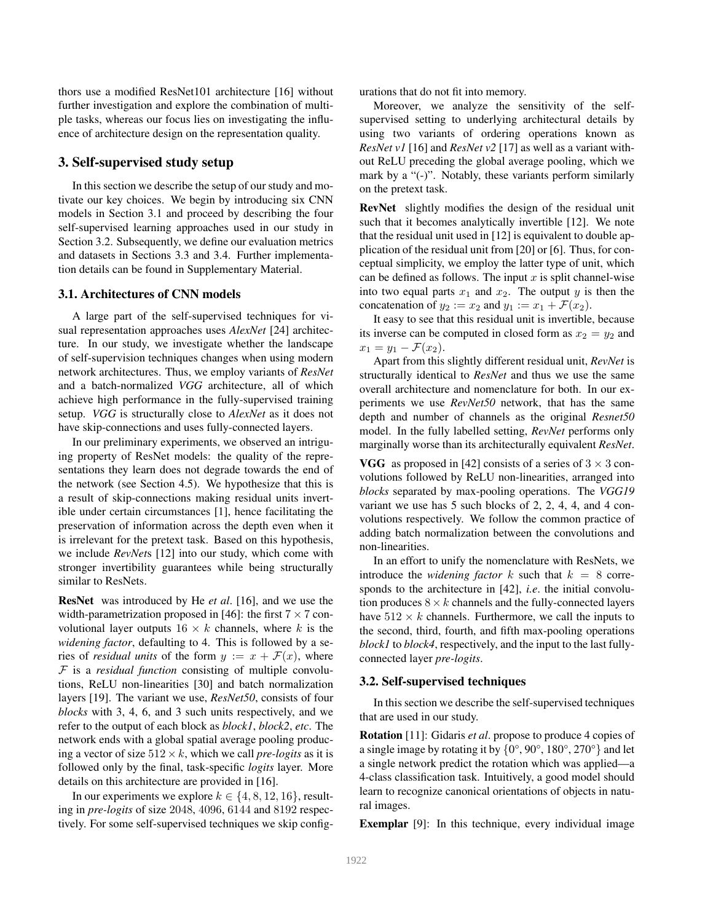thors use a modified ResNet101 architecture [16] without further investigation and explore the combination of multiple tasks, whereas our focus lies on investigating the influence of architecture design on the representation quality.

### 3. Self-supervised study setup

In this section we describe the setup of our study and motivate our key choices. We begin by introducing six CNN models in Section 3.1 and proceed by describing the four self-supervised learning approaches used in our study in Section 3.2. Subsequently, we define our evaluation metrics and datasets in Sections 3.3 and 3.4. Further implementation details can be found in Supplementary Material.

### 3.1. Architectures of CNN models

A large part of the self-supervised techniques for visual representation approaches uses *AlexNet* [24] architecture. In our study, we investigate whether the landscape of self-supervision techniques changes when using modern network architectures. Thus, we employ variants of *ResNet* and a batch-normalized *VGG* architecture, all of which achieve high performance in the fully-supervised training setup. *VGG* is structurally close to *AlexNet* as it does not have skip-connections and uses fully-connected layers.

In our preliminary experiments, we observed an intriguing property of ResNet models: the quality of the representations they learn does not degrade towards the end of the network (see Section 4.5). We hypothesize that this is a result of skip-connections making residual units invertible under certain circumstances [1], hence facilitating the preservation of information across the depth even when it is irrelevant for the pretext task. Based on this hypothesis, we include *RevNet*s [12] into our study, which come with stronger invertibility guarantees while being structurally similar to ResNets.

ResNet was introduced by He *et al*. [16], and we use the width-parametrization proposed in [46]: the first  $7 \times 7$  convolutional layer outputs  $16 \times k$  channels, where k is the *widening factor*, defaulting to 4. This is followed by a series of *residual units* of the form  $y := x + \mathcal{F}(x)$ , where F is a *residual function* consisting of multiple convolutions, ReLU non-linearities [30] and batch normalization layers [19]. The variant we use, *ResNet50*, consists of four *blocks* with 3, 4, 6, and 3 such units respectively, and we refer to the output of each block as *block1*, *block2*, *etc*. The network ends with a global spatial average pooling producing a vector of size  $512 \times k$ , which we call *pre-logits* as it is followed only by the final, task-specific *logits* layer. More details on this architecture are provided in [16].

In our experiments we explore  $k \in \{4, 8, 12, 16\}$ , resulting in *pre-logits* of size 2048, 4096, 6144 and 8192 respectively. For some self-supervised techniques we skip configurations that do not fit into memory.

Moreover, we analyze the sensitivity of the selfsupervised setting to underlying architectural details by using two variants of ordering operations known as *ResNet v1* [16] and *ResNet v2* [17] as well as a variant without ReLU preceding the global average pooling, which we mark by a "(-)". Notably, these variants perform similarly on the pretext task.

RevNet slightly modifies the design of the residual unit such that it becomes analytically invertible [12]. We note that the residual unit used in [12] is equivalent to double application of the residual unit from [20] or [6]. Thus, for conceptual simplicity, we employ the latter type of unit, which can be defined as follows. The input  $x$  is split channel-wise into two equal parts  $x_1$  and  $x_2$ . The output y is then the concatenation of  $y_2 := x_2$  and  $y_1 := x_1 + \mathcal{F}(x_2)$ .

It easy to see that this residual unit is invertible, because its inverse can be computed in closed form as  $x_2 = y_2$  and  $x_1 = y_1 - \mathcal{F}(x_2).$ 

Apart from this slightly different residual unit, *RevNet* is structurally identical to *ResNet* and thus we use the same overall architecture and nomenclature for both. In our experiments we use *RevNet50* network, that has the same depth and number of channels as the original *Resnet50* model. In the fully labelled setting, *RevNet* performs only marginally worse than its architecturally equivalent *ResNet*.

**VGG** as proposed in [42] consists of a series of  $3 \times 3$  convolutions followed by ReLU non-linearities, arranged into *blocks* separated by max-pooling operations. The *VGG19* variant we use has 5 such blocks of 2, 2, 4, 4, and 4 convolutions respectively. We follow the common practice of adding batch normalization between the convolutions and non-linearities.

In an effort to unify the nomenclature with ResNets, we introduce the *widening factor*  $k$  such that  $k = 8$  corresponds to the architecture in [42], *i.e*. the initial convolution produces  $8 \times k$  channels and the fully-connected layers have  $512 \times k$  channels. Furthermore, we call the inputs to the second, third, fourth, and fifth max-pooling operations *block1* to *block4*, respectively, and the input to the last fullyconnected layer *pre-logits*.

#### 3.2. Self-supervised techniques

In this section we describe the self-supervised techniques that are used in our study.

Rotation [11]: Gidaris *et al*. propose to produce 4 copies of a single image by rotating it by  $\{0^\circ, 90^\circ, 180^\circ, 270^\circ\}$  and let a single network predict the rotation which was applied—a 4-class classification task. Intuitively, a good model should learn to recognize canonical orientations of objects in natural images.

Exemplar [9]: In this technique, every individual image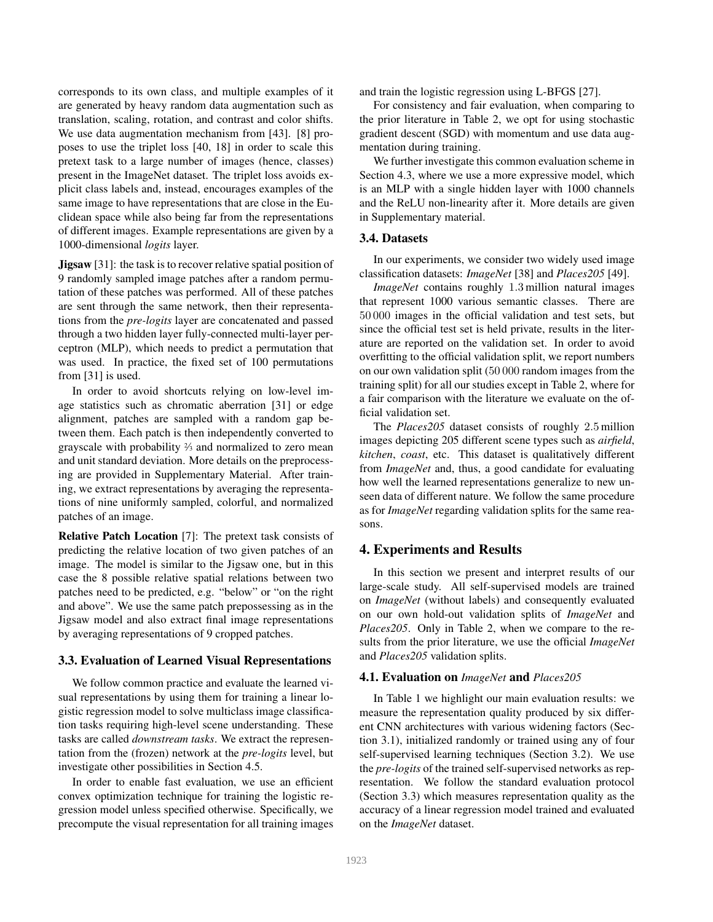corresponds to its own class, and multiple examples of it are generated by heavy random data augmentation such as translation, scaling, rotation, and contrast and color shifts. We use data augmentation mechanism from [43]. [8] proposes to use the triplet loss [40, 18] in order to scale this pretext task to a large number of images (hence, classes) present in the ImageNet dataset. The triplet loss avoids explicit class labels and, instead, encourages examples of the same image to have representations that are close in the Euclidean space while also being far from the representations of different images. Example representations are given by a 1000-dimensional *logits* layer.

**Jigsaw** [31]: the task is to recover relative spatial position of 9 randomly sampled image patches after a random permutation of these patches was performed. All of these patches are sent through the same network, then their representations from the *pre-logits* layer are concatenated and passed through a two hidden layer fully-connected multi-layer perceptron (MLP), which needs to predict a permutation that was used. In practice, the fixed set of 100 permutations from [31] is used.

In order to avoid shortcuts relying on low-level image statistics such as chromatic aberration [31] or edge alignment, patches are sampled with a random gap between them. Each patch is then independently converted to grayscale with probability <sup>2</sup> ⁄<sup>3</sup> and normalized to zero mean and unit standard deviation. More details on the preprocessing are provided in Supplementary Material. After training, we extract representations by averaging the representations of nine uniformly sampled, colorful, and normalized patches of an image.

Relative Patch Location [7]: The pretext task consists of predicting the relative location of two given patches of an image. The model is similar to the Jigsaw one, but in this case the 8 possible relative spatial relations between two patches need to be predicted, e.g. "below" or "on the right and above". We use the same patch prepossessing as in the Jigsaw model and also extract final image representations by averaging representations of 9 cropped patches.

#### 3.3. Evaluation of Learned Visual Representations

We follow common practice and evaluate the learned visual representations by using them for training a linear logistic regression model to solve multiclass image classification tasks requiring high-level scene understanding. These tasks are called *downstream tasks*. We extract the representation from the (frozen) network at the *pre-logits* level, but investigate other possibilities in Section 4.5.

In order to enable fast evaluation, we use an efficient convex optimization technique for training the logistic regression model unless specified otherwise. Specifically, we precompute the visual representation for all training images

and train the logistic regression using L-BFGS [27].

For consistency and fair evaluation, when comparing to the prior literature in Table 2, we opt for using stochastic gradient descent (SGD) with momentum and use data augmentation during training.

We further investigate this common evaluation scheme in Section 4.3, where we use a more expressive model, which is an MLP with a single hidden layer with 1000 channels and the ReLU non-linearity after it. More details are given in Supplementary material.

#### 3.4. Datasets

In our experiments, we consider two widely used image classification datasets: *ImageNet* [38] and *Places205* [49].

*ImageNet* contains roughly 1.3 million natural images that represent 1000 various semantic classes. There are 50 000 images in the official validation and test sets, but since the official test set is held private, results in the literature are reported on the validation set. In order to avoid overfitting to the official validation split, we report numbers on our own validation split (50 000 random images from the training split) for all our studies except in Table 2, where for a fair comparison with the literature we evaluate on the official validation set.

The *Places205* dataset consists of roughly 2.5 million images depicting 205 different scene types such as *airfield*, *kitchen*, *coast*, etc. This dataset is qualitatively different from *ImageNet* and, thus, a good candidate for evaluating how well the learned representations generalize to new unseen data of different nature. We follow the same procedure as for *ImageNet* regarding validation splits for the same reasons.

## 4. Experiments and Results

In this section we present and interpret results of our large-scale study. All self-supervised models are trained on *ImageNet* (without labels) and consequently evaluated on our own hold-out validation splits of *ImageNet* and *Places205*. Only in Table 2, when we compare to the results from the prior literature, we use the official *ImageNet* and *Places205* validation splits.

#### 4.1. Evaluation on *ImageNet* and *Places205*

In Table 1 we highlight our main evaluation results: we measure the representation quality produced by six different CNN architectures with various widening factors (Section 3.1), initialized randomly or trained using any of four self-supervised learning techniques (Section 3.2). We use the *pre-logits* of the trained self-supervised networks as representation. We follow the standard evaluation protocol (Section 3.3) which measures representation quality as the accuracy of a linear regression model trained and evaluated on the *ImageNet* dataset.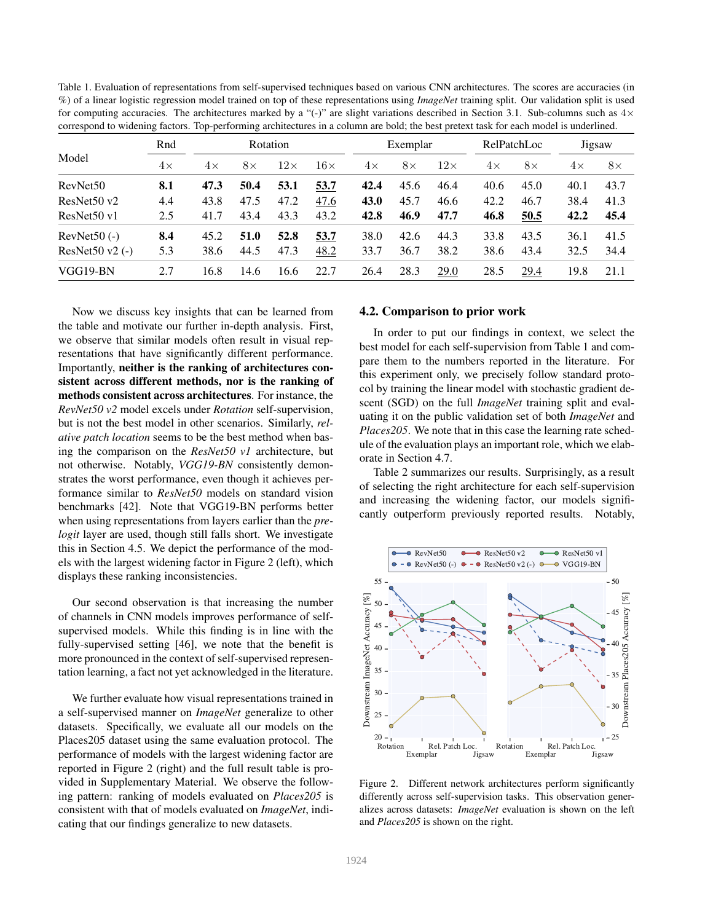| for computing accuracies. The architectures marked by a "(-)" are slight variations described in Section 3.1. Sub-columns such as $4 \times$<br>correspond to widening factors. Top-performing architectures in a column are bold; the best pretext task for each model is underlined. |           |           |           |            |            |           |           |            |             |           |           |           |
|----------------------------------------------------------------------------------------------------------------------------------------------------------------------------------------------------------------------------------------------------------------------------------------|-----------|-----------|-----------|------------|------------|-----------|-----------|------------|-------------|-----------|-----------|-----------|
| Model                                                                                                                                                                                                                                                                                  | Rnd       | Rotation  |           |            |            | Exemplar  |           |            | RelPatchLoc |           | Jigsaw    |           |
|                                                                                                                                                                                                                                                                                        | $4\times$ | $4\times$ | $8\times$ | $12\times$ | $16\times$ | $4\times$ | $8\times$ | $12\times$ | $4\times$   | $8\times$ | $4\times$ | $8\times$ |
| RevNet <sub>50</sub>                                                                                                                                                                                                                                                                   | 8.1       | 47.3      | 50.4      | 53.1       | 53.7       | 42.4      | 45.6      | 46.4       | 40.6        | 45.0      | 40.1      | 43.7      |
| ResNet50 v2                                                                                                                                                                                                                                                                            | 4.4       | 43.8      | 47.5      | 47.2       | 47.6       | 43.0      | 45.7      | 46.6       | 42.2        | 46.7      | 38.4      | 41.3      |
| ResNet50 v1                                                                                                                                                                                                                                                                            | 2.5       | 41.7      | 43.4      | 43.3       | 43.2       | 42.8      | 46.9      | 47.7       | 46.8        | 50.5      | 42.2      | 45.4      |
| RevNet $50$ (-)                                                                                                                                                                                                                                                                        | 8.4       | 45.2      | 51.0      | 52.8       | 53.7       | 38.0      | 42.6      | 44.3       | 33.8        | 43.5      | 36.1      | 41.5      |
| ResNet $50 \text{ v2}$ (-)                                                                                                                                                                                                                                                             | 5.3       | 38.6      | 44.5      | 47.3       | 48.2       | 33.7      | 36.7      | 38.2       | 38.6        | 43.4      | 32.5      | 34.4      |
| VGG19-BN                                                                                                                                                                                                                                                                               | 2.7       | 16.8      | 14.6      | 16.6       | 22.7       | 26.4      | 28.3      | 29.0       | 28.5        | 29.4      | 19.8      | 21.1      |

Table 1. Evaluation of representations from self-supervised techniques based on various CNN architectures. The scores are accuracies (in %) of a linear logistic regression model trained on top of these representations using *ImageNet* training split. Our validation split is used for computing accuracies. The architectures marked by a "(-)" are slight variations described in Section 3.1. Sub-columns such as  $4\times$ 

Now we discuss key insights that can be learned from the table and motivate our further in-depth analysis. First, we observe that similar models often result in visual representations that have significantly different performance. Importantly, neither is the ranking of architectures consistent across different methods, nor is the ranking of methods consistent across architectures. For instance, the *RevNet50 v2* model excels under *Rotation* self-supervision, but is not the best model in other scenarios. Similarly, *relative patch location* seems to be the best method when basing the comparison on the *ResNet50 v1* architecture, but not otherwise. Notably, *VGG19-BN* consistently demonstrates the worst performance, even though it achieves performance similar to *ResNet50* models on standard vision benchmarks [42]. Note that VGG19-BN performs better when using representations from layers earlier than the *prelogit* layer are used, though still falls short. We investigate this in Section 4.5. We depict the performance of the models with the largest widening factor in Figure 2 (left), which displays these ranking inconsistencies.

Our second observation is that increasing the number of channels in CNN models improves performance of selfsupervised models. While this finding is in line with the fully-supervised setting [46], we note that the benefit is more pronounced in the context of self-supervised representation learning, a fact not yet acknowledged in the literature.

We further evaluate how visual representations trained in a self-supervised manner on *ImageNet* generalize to other datasets. Specifically, we evaluate all our models on the Places205 dataset using the same evaluation protocol. The performance of models with the largest widening factor are reported in Figure 2 (right) and the full result table is provided in Supplementary Material. We observe the following pattern: ranking of models evaluated on *Places205* is consistent with that of models evaluated on *ImageNet*, indicating that our findings generalize to new datasets.

#### 4.2. Comparison to prior work

In order to put our findings in context, we select the best model for each self-supervision from Table 1 and compare them to the numbers reported in the literature. For this experiment only, we precisely follow standard protocol by training the linear model with stochastic gradient descent (SGD) on the full *ImageNet* training split and evaluating it on the public validation set of both *ImageNet* and *Places205*. We note that in this case the learning rate schedule of the evaluation plays an important role, which we elaborate in Section 4.7.

Table 2 summarizes our results. Surprisingly, as a result of selecting the right architecture for each self-supervision and increasing the widening factor, our models significantly outperform previously reported results. Notably,



Figure 2. Different network architectures perform significantly differently across self-supervision tasks. This observation generalizes across datasets: *ImageNet* evaluation is shown on the left and *Places205* is shown on the right.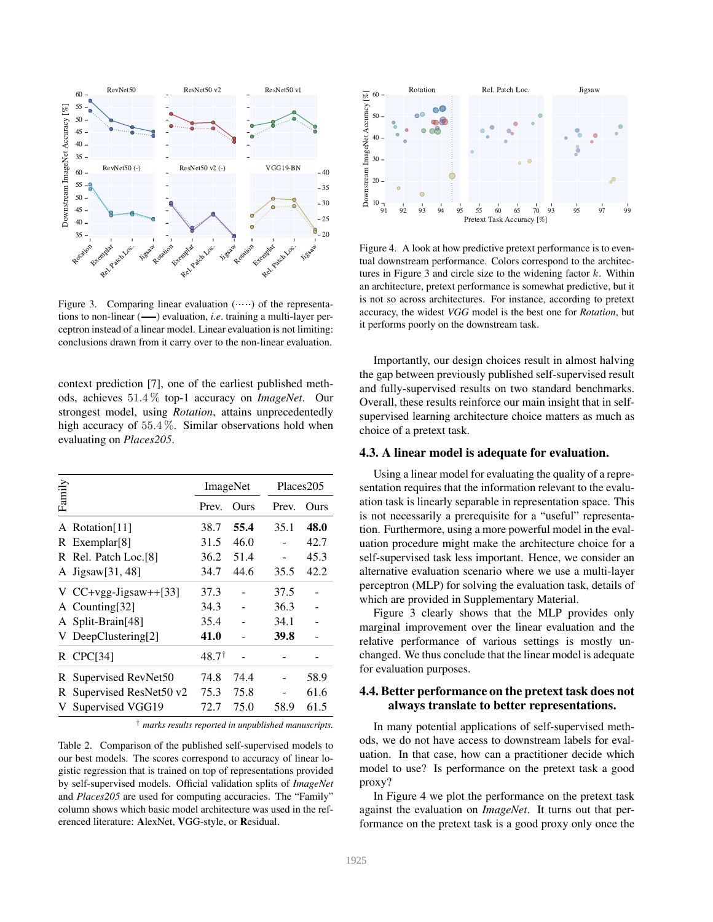

Figure 3. Comparing linear evaluation  $($ ....) of the representations to non-linear ( $\longrightarrow$ ) evaluation, *i.e.* training a multi-layer perceptron instead of a linear model. Linear evaluation is not limiting: conclusions drawn from it carry over to the non-linear evaluation.

context prediction [7], one of the earliest published methods, achieves 51.4 % top-1 accuracy on *ImageNet*. Our strongest model, using *Rotation*, attains unprecedentedly high accuracy of 55.4%. Similar observations hold when evaluating on *Places205*.

|        |                             |                  | ImageNet |       | Places205 |  |  |
|--------|-----------------------------|------------------|----------|-------|-----------|--|--|
| Family |                             | Prev.            | Ours     | Prev. | Ours      |  |  |
|        | A Rotation[11]              | 38.7             | 55.4     | 35.1  | 48.0      |  |  |
|        | $R$ Exemplar[8]             | 31.5             | 46.0     |       | 42.7      |  |  |
|        | R Rel. Patch Loc.[8]        | 36.2             | 51.4     |       | 45.3      |  |  |
|        | A Jigsaw <sup>[31,48]</sup> | 34.7             | 44.6     | 35.5  | 42.2      |  |  |
|        | V $CC+vgg-Jigsaw++[33]$     | 37.3             |          | 37.5  |           |  |  |
|        | A Counting[32]              | 34.3             |          | 36.3  |           |  |  |
|        | A Split-Brain[48]           | 35.4             |          | 34.1  |           |  |  |
|        | V DeepClustering[2]         | 41.0             |          | 39.8  |           |  |  |
|        | $R$ CPC[34]                 | $48.7^{\dagger}$ |          |       |           |  |  |
| R      | Supervised RevNet50         | 74.8             | 74.4     |       | 58.9      |  |  |
|        | R Supervised ResNet50 v2    | 75.3             | 75.8     |       | 61.6      |  |  |
| V      | Supervised VGG19            | 72.7             | 75.0     | 58.9  | 61.5      |  |  |

† *marks results reported in unpublished manuscripts.*

Table 2. Comparison of the published self-supervised models to our best models. The scores correspond to accuracy of linear logistic regression that is trained on top of representations provided by self-supervised models. Official validation splits of *ImageNet* and *Places205* are used for computing accuracies. The "Family" column shows which basic model architecture was used in the referenced literature: AlexNet, VGG-style, or Residual.



Figure 4. A look at how predictive pretext performance is to eventual downstream performance. Colors correspond to the architectures in Figure 3 and circle size to the widening factor  $k$ . Within an architecture, pretext performance is somewhat predictive, but it is not so across architectures. For instance, according to pretext accuracy, the widest *VGG* model is the best one for *Rotation*, but it performs poorly on the downstream task.

Importantly, our design choices result in almost halving the gap between previously published self-supervised result and fully-supervised results on two standard benchmarks. Overall, these results reinforce our main insight that in selfsupervised learning architecture choice matters as much as choice of a pretext task.

#### 4.3. A linear model is adequate for evaluation.

Using a linear model for evaluating the quality of a representation requires that the information relevant to the evaluation task is linearly separable in representation space. This is not necessarily a prerequisite for a "useful" representation. Furthermore, using a more powerful model in the evaluation procedure might make the architecture choice for a self-supervised task less important. Hence, we consider an alternative evaluation scenario where we use a multi-layer perceptron (MLP) for solving the evaluation task, details of which are provided in Supplementary Material.

Figure 3 clearly shows that the MLP provides only marginal improvement over the linear evaluation and the relative performance of various settings is mostly unchanged. We thus conclude that the linear model is adequate for evaluation purposes.

### 4.4. Better performance on the pretext task does not always translate to better representations.

In many potential applications of self-supervised methods, we do not have access to downstream labels for evaluation. In that case, how can a practitioner decide which model to use? Is performance on the pretext task a good proxy?

In Figure 4 we plot the performance on the pretext task against the evaluation on *ImageNet*. It turns out that performance on the pretext task is a good proxy only once the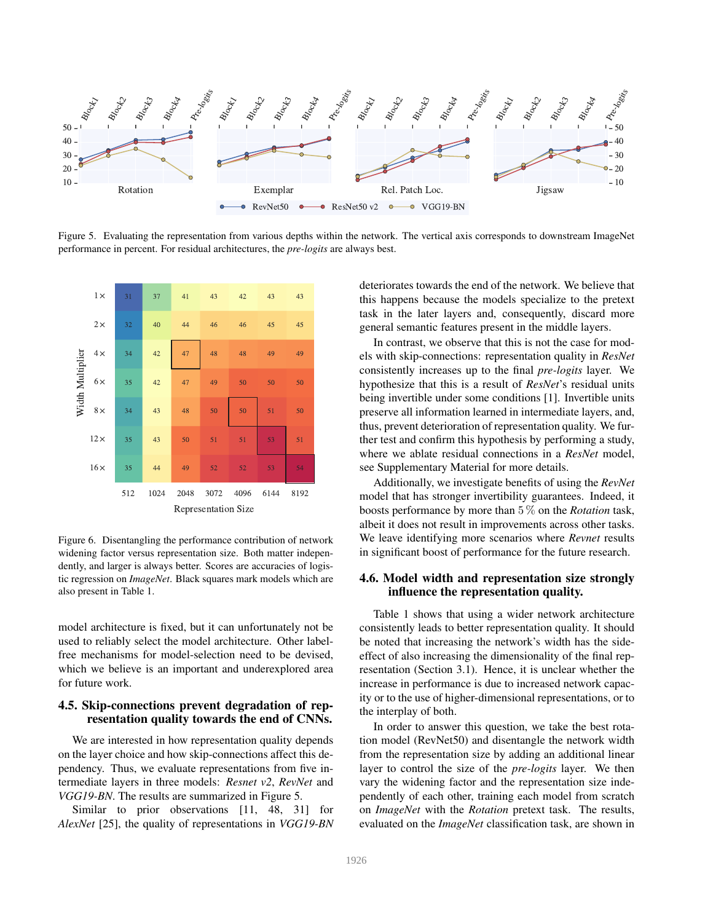

Figure 5. Evaluating the representation from various depths within the network. The vertical axis corresponds to downstream ImageNet performance in percent. For residual architectures, the *pre-logits* are always best.



Figure 6. Disentangling the performance contribution of network widening factor versus representation size. Both matter independently, and larger is always better. Scores are accuracies of logistic regression on *ImageNet*. Black squares mark models which are also present in Table 1.

model architecture is fixed, but it can unfortunately not be used to reliably select the model architecture. Other labelfree mechanisms for model-selection need to be devised, which we believe is an important and underexplored area for future work.

### 4.5. Skip-connections prevent degradation of representation quality towards the end of CNNs.

We are interested in how representation quality depends on the layer choice and how skip-connections affect this dependency. Thus, we evaluate representations from five intermediate layers in three models: *Resnet v2*, *RevNet* and *VGG19-BN*. The results are summarized in Figure 5.

Similar to prior observations [11, 48, 31] for *AlexNet* [25], the quality of representations in *VGG19-BN*

deteriorates towards the end of the network. We believe that this happens because the models specialize to the pretext task in the later layers and, consequently, discard more general semantic features present in the middle layers.

In contrast, we observe that this is not the case for models with skip-connections: representation quality in *ResNet* consistently increases up to the final *pre-logits* layer. We hypothesize that this is a result of *ResNet*'s residual units being invertible under some conditions [1]. Invertible units preserve all information learned in intermediate layers, and, thus, prevent deterioration of representation quality. We further test and confirm this hypothesis by performing a study, where we ablate residual connections in a *ResNet* model, see Supplementary Material for more details.

Additionally, we investigate benefits of using the *RevNet* model that has stronger invertibility guarantees. Indeed, it boosts performance by more than 5 % on the *Rotation* task, albeit it does not result in improvements across other tasks. We leave identifying more scenarios where *Revnet* results in significant boost of performance for the future research.

# 4.6. Model width and representation size strongly influence the representation quality.

Table 1 shows that using a wider network architecture consistently leads to better representation quality. It should be noted that increasing the network's width has the sideeffect of also increasing the dimensionality of the final representation (Section 3.1). Hence, it is unclear whether the increase in performance is due to increased network capacity or to the use of higher-dimensional representations, or to the interplay of both.

In order to answer this question, we take the best rotation model (RevNet50) and disentangle the network width from the representation size by adding an additional linear layer to control the size of the *pre-logits* layer. We then vary the widening factor and the representation size independently of each other, training each model from scratch on *ImageNet* with the *Rotation* pretext task. The results, evaluated on the *ImageNet* classification task, are shown in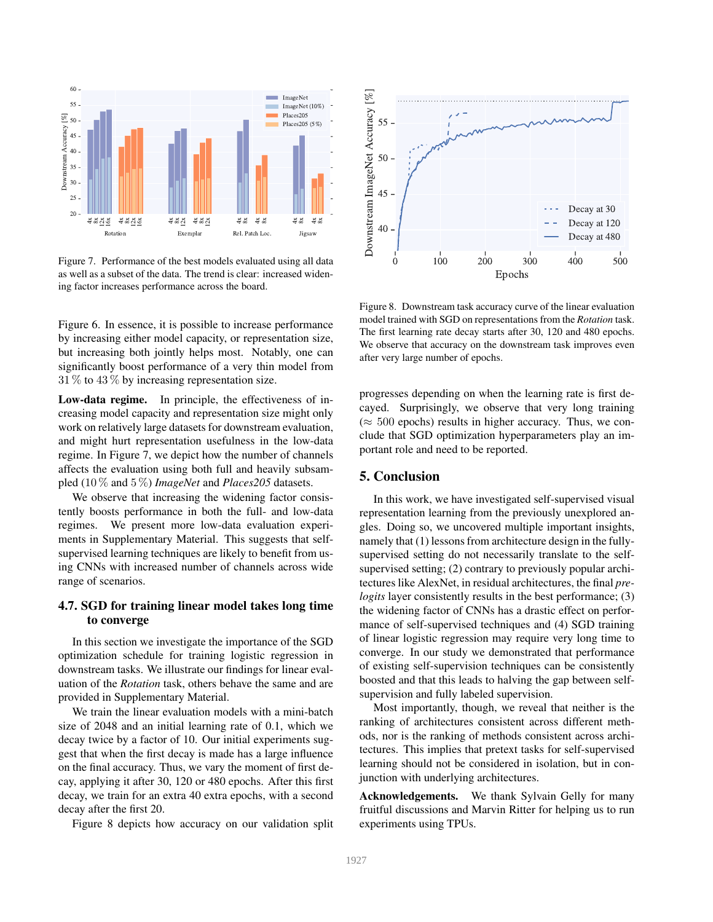

Figure 7. Performance of the best models evaluated using all data as well as a subset of the data. The trend is clear: increased widening factor increases performance across the board.

Figure 6. In essence, it is possible to increase performance by increasing either model capacity, or representation size, but increasing both jointly helps most. Notably, one can significantly boost performance of a very thin model from  $31\%$  to  $43\%$  by increasing representation size.

Low-data regime. In principle, the effectiveness of increasing model capacity and representation size might only work on relatively large datasets for downstream evaluation, and might hurt representation usefulness in the low-data regime. In Figure 7, we depict how the number of channels affects the evaluation using both full and heavily subsampled (10 % and 5 %) *ImageNet* and *Places205* datasets.

We observe that increasing the widening factor consistently boosts performance in both the full- and low-data regimes. We present more low-data evaluation experiments in Supplementary Material. This suggests that selfsupervised learning techniques are likely to benefit from using CNNs with increased number of channels across wide range of scenarios.

# 4.7. SGD for training linear model takes long time to converge

In this section we investigate the importance of the SGD optimization schedule for training logistic regression in downstream tasks. We illustrate our findings for linear evaluation of the *Rotation* task, others behave the same and are provided in Supplementary Material.

We train the linear evaluation models with a mini-batch size of 2048 and an initial learning rate of 0.1, which we decay twice by a factor of 10. Our initial experiments suggest that when the first decay is made has a large influence on the final accuracy. Thus, we vary the moment of first decay, applying it after 30, 120 or 480 epochs. After this first decay, we train for an extra 40 extra epochs, with a second decay after the first 20.

Figure 8 depicts how accuracy on our validation split



Figure 8. Downstream task accuracy curve of the linear evaluation model trained with SGD on representations from the *Rotation* task. The first learning rate decay starts after 30, 120 and 480 epochs. We observe that accuracy on the downstream task improves even after very large number of epochs.

progresses depending on when the learning rate is first decayed. Surprisingly, we observe that very long training  $(\approx 500 \text{ epochs})$  results in higher accuracy. Thus, we conclude that SGD optimization hyperparameters play an important role and need to be reported.

### 5. Conclusion

In this work, we have investigated self-supervised visual representation learning from the previously unexplored angles. Doing so, we uncovered multiple important insights, namely that (1) lessons from architecture design in the fullysupervised setting do not necessarily translate to the selfsupervised setting; (2) contrary to previously popular architectures like AlexNet, in residual architectures, the final *prelogits* layer consistently results in the best performance; (3) the widening factor of CNNs has a drastic effect on performance of self-supervised techniques and (4) SGD training of linear logistic regression may require very long time to converge. In our study we demonstrated that performance of existing self-supervision techniques can be consistently boosted and that this leads to halving the gap between selfsupervision and fully labeled supervision.

Most importantly, though, we reveal that neither is the ranking of architectures consistent across different methods, nor is the ranking of methods consistent across architectures. This implies that pretext tasks for self-supervised learning should not be considered in isolation, but in conjunction with underlying architectures.

Acknowledgements. We thank Sylvain Gelly for many fruitful discussions and Marvin Ritter for helping us to run experiments using TPUs.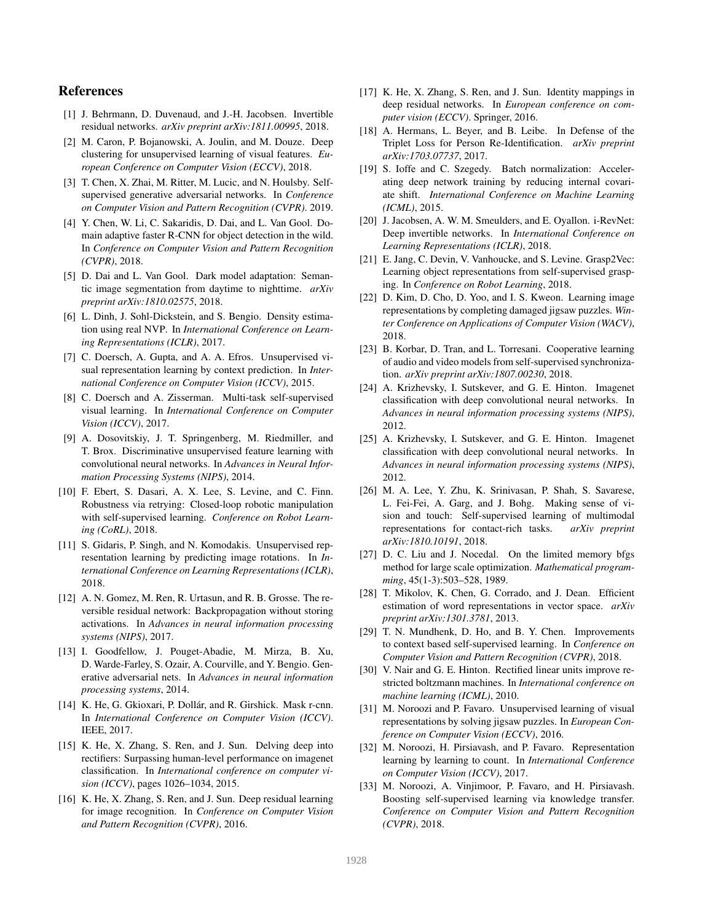## References

- [1] J. Behrmann, D. Duvenaud, and J.-H. Jacobsen. Invertible residual networks. *arXiv preprint arXiv:1811.00995*, 2018.
- [2] M. Caron, P. Bojanowski, A. Joulin, and M. Douze. Deep clustering for unsupervised learning of visual features. *European Conference on Computer Vision (ECCV)*, 2018.
- [3] T. Chen, X. Zhai, M. Ritter, M. Lucic, and N. Houlsby. Selfsupervised generative adversarial networks. In *Conference on Computer Vision and Pattern Recognition (CVPR)*. 2019.
- [4] Y. Chen, W. Li, C. Sakaridis, D. Dai, and L. Van Gool. Domain adaptive faster R-CNN for object detection in the wild. In *Conference on Computer Vision and Pattern Recognition (CVPR)*, 2018.
- [5] D. Dai and L. Van Gool. Dark model adaptation: Semantic image segmentation from daytime to nighttime. *arXiv preprint arXiv:1810.02575*, 2018.
- [6] L. Dinh, J. Sohl-Dickstein, and S. Bengio. Density estimation using real NVP. In *International Conference on Learning Representations (ICLR)*, 2017.
- [7] C. Doersch, A. Gupta, and A. A. Efros. Unsupervised visual representation learning by context prediction. In *International Conference on Computer Vision (ICCV)*, 2015.
- [8] C. Doersch and A. Zisserman. Multi-task self-supervised visual learning. In *International Conference on Computer Vision (ICCV)*, 2017.
- [9] A. Dosovitskiy, J. T. Springenberg, M. Riedmiller, and T. Brox. Discriminative unsupervised feature learning with convolutional neural networks. In *Advances in Neural Information Processing Systems (NIPS)*, 2014.
- [10] F. Ebert, S. Dasari, A. X. Lee, S. Levine, and C. Finn. Robustness via retrying: Closed-loop robotic manipulation with self-supervised learning. *Conference on Robot Learning (CoRL)*, 2018.
- [11] S. Gidaris, P. Singh, and N. Komodakis. Unsupervised representation learning by predicting image rotations. In *International Conference on Learning Representations (ICLR)*, 2018.
- [12] A. N. Gomez, M. Ren, R. Urtasun, and R. B. Grosse. The reversible residual network: Backpropagation without storing activations. In *Advances in neural information processing systems (NIPS)*, 2017.
- [13] I. Goodfellow, J. Pouget-Abadie, M. Mirza, B. Xu, D. Warde-Farley, S. Ozair, A. Courville, and Y. Bengio. Generative adversarial nets. In *Advances in neural information processing systems*, 2014.
- [14] K. He, G. Gkioxari, P. Dollár, and R. Girshick. Mask r-cnn. In *International Conference on Computer Vision (ICCV)*. IEEE, 2017.
- [15] K. He, X. Zhang, S. Ren, and J. Sun. Delving deep into rectifiers: Surpassing human-level performance on imagenet classification. In *International conference on computer vision (ICCV)*, pages 1026–1034, 2015.
- [16] K. He, X. Zhang, S. Ren, and J. Sun. Deep residual learning for image recognition. In *Conference on Computer Vision and Pattern Recognition (CVPR)*, 2016.
- [17] K. He, X. Zhang, S. Ren, and J. Sun. Identity mappings in deep residual networks. In *European conference on computer vision (ECCV)*. Springer, 2016.
- [18] A. Hermans, L. Beyer, and B. Leibe. In Defense of the Triplet Loss for Person Re-Identification. *arXiv preprint arXiv:1703.07737*, 2017.
- [19] S. Ioffe and C. Szegedy. Batch normalization: Accelerating deep network training by reducing internal covariate shift. *International Conference on Machine Learning (ICML)*, 2015.
- [20] J. Jacobsen, A. W. M. Smeulders, and E. Oyallon. i-RevNet: Deep invertible networks. In *International Conference on Learning Representations (ICLR)*, 2018.
- [21] E. Jang, C. Devin, V. Vanhoucke, and S. Levine. Grasp2Vec: Learning object representations from self-supervised grasping. In *Conference on Robot Learning*, 2018.
- [22] D. Kim, D. Cho, D. Yoo, and I. S. Kweon. Learning image representations by completing damaged jigsaw puzzles. *Winter Conference on Applications of Computer Vision (WACV)*, 2018.
- [23] B. Korbar, D. Tran, and L. Torresani. Cooperative learning of audio and video models from self-supervised synchronization. *arXiv preprint arXiv:1807.00230*, 2018.
- [24] A. Krizhevsky, I. Sutskever, and G. E. Hinton. Imagenet classification with deep convolutional neural networks. In *Advances in neural information processing systems (NIPS)*, 2012.
- [25] A. Krizhevsky, I. Sutskever, and G. E. Hinton. Imagenet classification with deep convolutional neural networks. In *Advances in neural information processing systems (NIPS)*, 2012.
- [26] M. A. Lee, Y. Zhu, K. Srinivasan, P. Shah, S. Savarese, L. Fei-Fei, A. Garg, and J. Bohg. Making sense of vision and touch: Self-supervised learning of multimodal representations for contact-rich tasks. *arXiv preprint arXiv:1810.10191*, 2018.
- [27] D. C. Liu and J. Nocedal. On the limited memory bfgs method for large scale optimization. *Mathematical programming*, 45(1-3):503–528, 1989.
- [28] T. Mikolov, K. Chen, G. Corrado, and J. Dean. Efficient estimation of word representations in vector space. *arXiv preprint arXiv:1301.3781*, 2013.
- [29] T. N. Mundhenk, D. Ho, and B. Y. Chen. Improvements to context based self-supervised learning. In *Conference on Computer Vision and Pattern Recognition (CVPR)*, 2018.
- [30] V. Nair and G. E. Hinton. Rectified linear units improve restricted boltzmann machines. In *International conference on machine learning (ICML)*, 2010.
- [31] M. Noroozi and P. Favaro. Unsupervised learning of visual representations by solving jigsaw puzzles. In *European Conference on Computer Vision (ECCV)*, 2016.
- [32] M. Noroozi, H. Pirsiavash, and P. Favaro. Representation learning by learning to count. In *International Conference on Computer Vision (ICCV)*, 2017.
- [33] M. Noroozi, A. Vinjimoor, P. Favaro, and H. Pirsiavash. Boosting self-supervised learning via knowledge transfer. *Conference on Computer Vision and Pattern Recognition (CVPR)*, 2018.